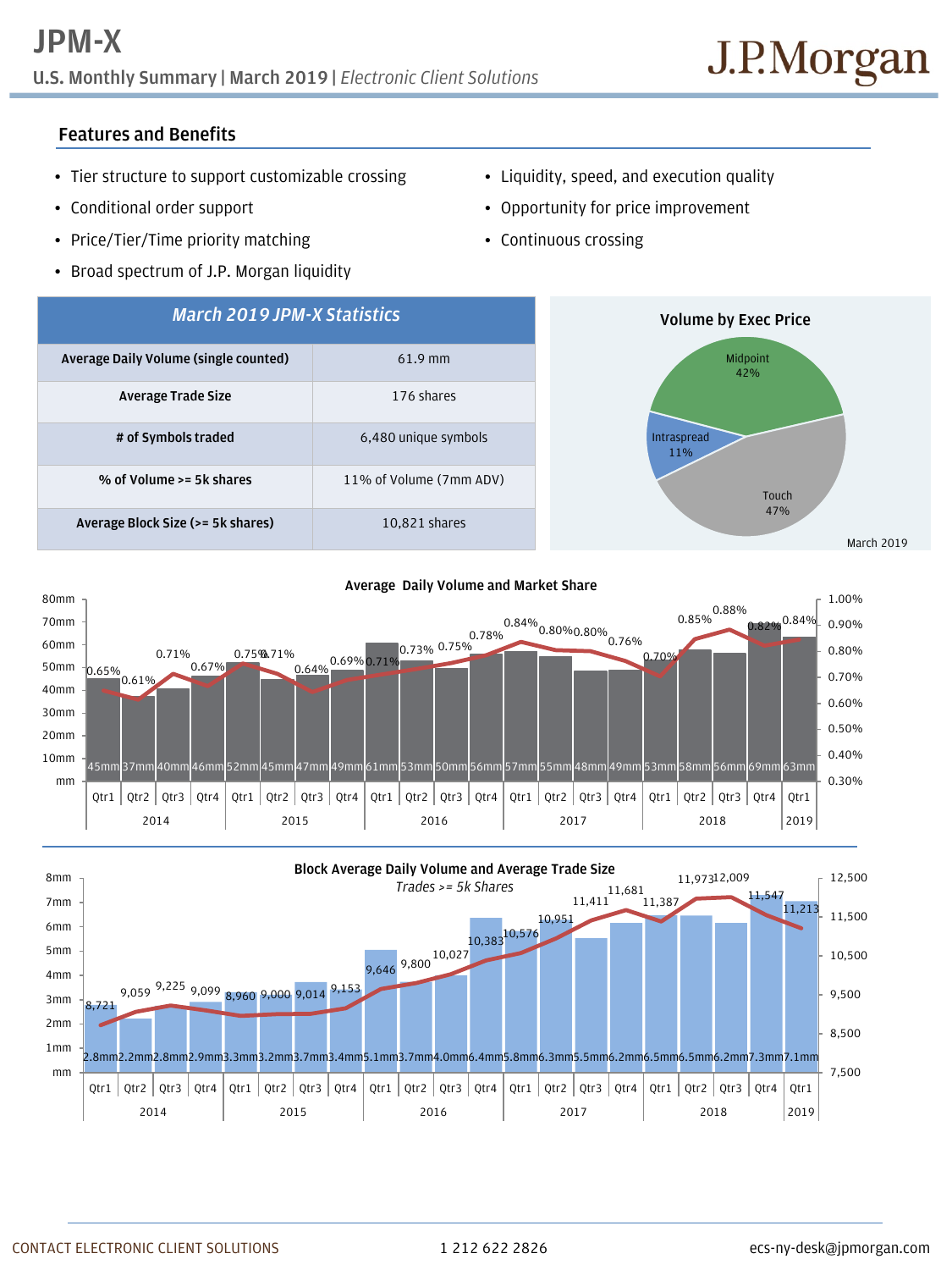## **JPM-X**

**U.S. Monthly Summary | March 2019 |** *Electronic Client Solutions*

## **Features and Benefits**

- Tier structure to support customizable crossing
- Conditional order support
- Price/Tier/Time priority matching
- Broad spectrum of J.P. Morgan liquidity
- Liquidity, speed, and execution quality
- Opportunity for price improvement
- Continuous crossing